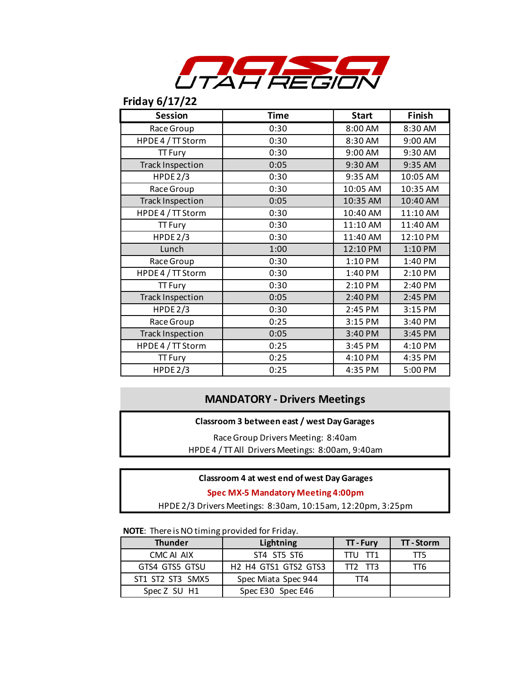

# **Friday 6/17/22**

| <b>Session</b>          | <b>Time</b> | <b>Start</b> | Finish   |
|-------------------------|-------------|--------------|----------|
| Race Group              | 0:30        | 8:00 AM      | 8:30 AM  |
| HPDE 4 / TT Storm       | 0:30        | 8:30 AM      | 9:00 AM  |
| <b>TT Fury</b>          | 0:30        | 9:00 AM      | 9:30 AM  |
| <b>Track Inspection</b> | 0:05        | 9:30 AM      | 9:35 AM  |
| HPDE $2/3$              | 0:30        | 9:35 AM      | 10:05 AM |
| Race Group              | 0:30        | 10:05 AM     | 10:35 AM |
| <b>Track Inspection</b> | 0:05        | 10:35 AM     | 10:40 AM |
| HPDE 4 / TT Storm       | 0:30        | 10:40 AM     | 11:10 AM |
| <b>TT Fury</b>          | 0:30        | 11:10 AM     | 11:40 AM |
| HPDE $2/3$              | 0:30        | 11:40 AM     | 12:10 PM |
| Lunch                   | 1:00        | 12:10 PM     | 1:10 PM  |
| Race Group              | 0:30        | 1:10 PM      | 1:40 PM  |
| HPDE4 / TT Storm        | 0:30        | 1:40 PM      | 2:10 PM  |
| <b>TT Fury</b>          | 0:30        | 2:10 PM      | 2:40 PM  |
| <b>Track Inspection</b> | 0:05        | 2:40 PM      | 2:45 PM  |
| HPDE $2/3$              | 0:30        | 2:45 PM      | 3:15 PM  |
| Race Group              | 0:25        | 3:15 PM      | 3:40 PM  |
| <b>Track Inspection</b> | 0:05        | 3:40 PM      | 3:45 PM  |
| HPDE 4 / TT Storm       | 0:25        | 3:45 PM      | 4:10 PM  |
| <b>TT Fury</b>          | 0:25        | 4:10 PM      | 4:35 PM  |
| HPDE 2/3                | 0:25        | 4:35 PM      | 5:00 PM  |

## **MANDATORY - Drivers Meetings**

#### **Classroom 3 between east / west Day Garages**

Race Group Drivers Meeting: 8:40am HPDE 4 / TT All Drivers Meetings: 8:00am, 9:40am

#### **Classroom 4 at west end of west Day Garages**

#### **Spec MX-5 Mandatory Meeting 4:00pm**

HPDE 2/3 Drivers Meetings: 8:30am, 10:15am, 12:20pm, 3:25pm

#### **NOTE**: There is NO timing provided for Friday.

| <b>Thunder</b>   | Lightning                                                                        | <b>TT-Fury</b>  | <b>TT-Storm</b> |
|------------------|----------------------------------------------------------------------------------|-----------------|-----------------|
| CMC ALAIX        | ST4 ST5 ST6                                                                      | TTU TT1         | TT5             |
| GTS4 GTS5 GTSU   | H <sub>2</sub> H <sub>4</sub> GTS <sub>1</sub> GTS <sub>2</sub> GTS <sub>3</sub> | $\Pi$ 7 $\Pi$ 3 | TT6             |
| ST1 ST2 ST3 SMX5 | Spec Miata Spec 944                                                              | TT4             |                 |
| Spec Z SU H1     | Spec E30 Spec E46                                                                |                 |                 |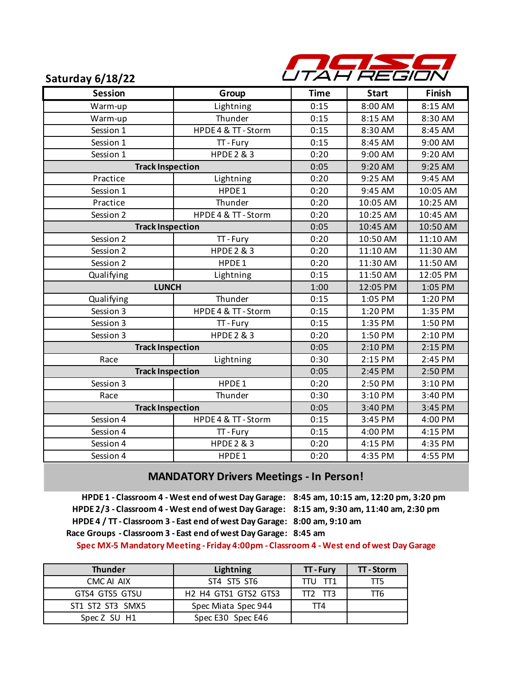

### **Saturday 6/18/22**

| <b>Session</b>          | Group                 | <b>Time</b> | <b>Start</b> | Finish   |
|-------------------------|-----------------------|-------------|--------------|----------|
| Warm-up                 | Lightning             | 0:15        | 8:00 AM      | 8:15 AM  |
| Warm-up                 | Thunder               | 0:15        | 8:15 AM      | 8:30 AM  |
| Session 1               | HPDE 4 & TT - Storm   | 0:15        | 8:30 AM      | 8:45 AM  |
| Session 1               | TT-Fury               | 0:15        | 8:45 AM      | 9:00 AM  |
| Session 1               | <b>HPDE 2 &amp; 3</b> | 0:20        | 9:00 AM      | 9:20 AM  |
| <b>Track Inspection</b> |                       | 0:05        | 9:20 AM      | 9:25 AM  |
| Practice                | Lightning             | 0:20        | 9:25 AM      | 9:45 AM  |
| Session 1               | HPDE1                 | 0:20        | 9:45 AM      | 10:05 AM |
| Practice                | Thunder               | 0:20        | 10:05 AM     | 10:25 AM |
| Session 2               | HPDE 4 & TT - Storm   | 0:20        | 10:25 AM     | 10:45 AM |
| <b>Track Inspection</b> |                       | 0:05        | 10:45 AM     | 10:50 AM |
| Session 2               | TT-Fury               | 0:20        | 10:50 AM     | 11:10 AM |
| Session 2               | <b>HPDE 2 &amp; 3</b> | 0:20        | 11:10 AM     | 11:30 AM |
| Session 2               | HPDE1                 | 0:20        | 11:30 AM     | 11:50 AM |
| Qualifying              | Lightning             | 0:15        | 11:50 AM     | 12:05 PM |
| <b>LUNCH</b>            |                       | 1:00        | 12:05 PM     | 1:05 PM  |
| Qualifying              | Thunder               | 0:15        | 1:05 PM      | 1:20 PM  |
| Session 3               | HPDE 4 & TT - Storm   | 0:15        | 1:20 PM      | 1:35 PM  |
| Session 3               | TT-Fury               | 0:15        | 1:35 PM      | 1:50 PM  |
| Session 3               | <b>HPDE 2 &amp; 3</b> | 0:20        | 1:50 PM      | 2:10 PM  |
| <b>Track Inspection</b> |                       | 0:05        | 2:10 PM      | 2:15 PM  |
| Race                    | Lightning             | 0:30        | 2:15 PM      | 2:45 PM  |
| <b>Track Inspection</b> |                       | 0:05        | 2:45 PM      | 2:50 PM  |
| Session 3               | HPDE1                 | 0:20        | 2:50 PM      | 3:10 PM  |
| Race                    | Thunder               | 0:30        | 3:10 PM      | 3:40 PM  |
| <b>Track Inspection</b> |                       | 0:05        | 3:40 PM      | 3:45 PM  |
| Session 4               | HPDE 4 & TT - Storm   | 0:15        | 3:45 PM      | 4:00 PM  |
| Session 4               | TT-Fury               | 0:15        | 4:00 PM      | 4:15 PM  |
| Session 4               | <b>HPDE 2 &amp; 3</b> | 0:20        | 4:15 PM      | 4:35 PM  |
| Session 4               | HPDE1                 | 0:20        | 4:35 PM      | 4:55 PM  |

### **MANDATORY Drivers Meetings - In Person!**

**8:00 am, 9:10 am HPDE 4 / TT - Classroom 3 - East end of west Day Garage:**  Race Groups - Classroom 3 - East end of west Day Garage: 8:45 am **HPDE 2/3 - Classroom 4 - West end of west Day Garage: 8:15 am, 9:30 am, 11:40 am, 2:30 pmHPDE 1 - Classroom 4 - West end of west Day Garage: 8:45 am, 10:15 am, 12:20 pm, 3:20 pm**

**Spec MX-5 Mandatory Meeting - Friday 4:00pm - Classroom 4 - West end of west Day Garage**

| <b>Thunder</b>   | Lightning                                                                        | <b>TT-Fury</b> | $\Pi$ - Storm |
|------------------|----------------------------------------------------------------------------------|----------------|---------------|
| CMC ALAIX        | ST4 ST5 ST6                                                                      | TTU TT1        | TT5.          |
| GTS4 GTS5 GTSU   | H <sub>2</sub> H <sub>4</sub> GTS <sub>1</sub> GTS <sub>2</sub> GTS <sub>3</sub> | TT2 TT3        | Π6            |
| ST1 ST2 ST3 SMX5 | Spec Miata Spec 944                                                              | TT4            |               |
| Spec Z SU H1     | Spec E30 Spec E46                                                                |                |               |